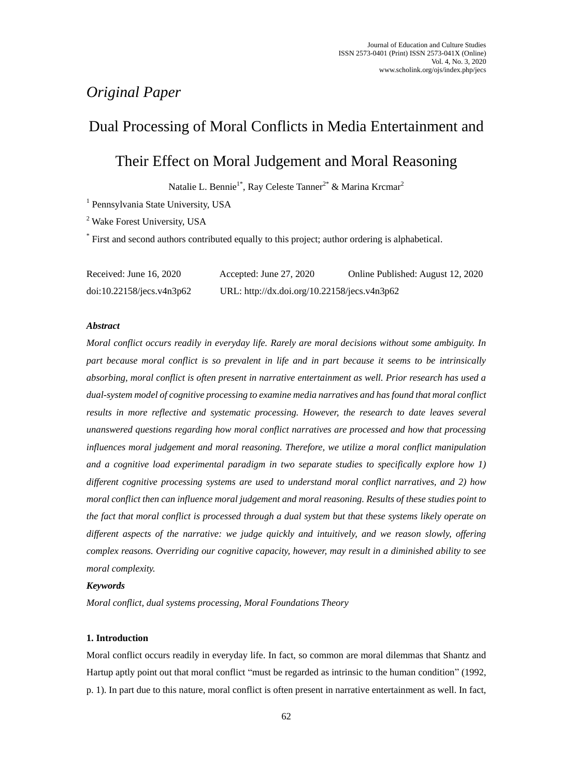# *Original Paper*

# Dual Processing of Moral Conflicts in Media Entertainment and

# Their Effect on Moral Judgement and Moral Reasoning

Natalie L. Bennie<sup>1\*</sup>, Ray Celeste Tanner<sup>2\*</sup> & Marina Krcmar<sup>2</sup>

<sup>1</sup> Pennsylvania State University, USA

<sup>2</sup> Wake Forest University, USA

\* First and second authors contributed equally to this project; author ordering is alphabetical.

| Received: June $16, 2020$ | Accepted: June 27, 2020                      | Online Published: August 12, 2020 |
|---------------------------|----------------------------------------------|-----------------------------------|
| doi:10.22158/jecs.v4n3p62 | URL: http://dx.doi.org/10.22158/jecs.v4n3p62 |                                   |

# *Abstract*

*Moral conflict occurs readily in everyday life. Rarely are moral decisions without some ambiguity. In part because moral conflict is so prevalent in life and in part because it seems to be intrinsically absorbing, moral conflict is often present in narrative entertainment as well. Prior research has used a dual-system model of cognitive processing to examine media narratives and has found that moral conflict results in more reflective and systematic processing. However, the research to date leaves several unanswered questions regarding how moral conflict narratives are processed and how that processing influences moral judgement and moral reasoning. Therefore, we utilize a moral conflict manipulation and a cognitive load experimental paradigm in two separate studies to specifically explore how 1) different cognitive processing systems are used to understand moral conflict narratives, and 2) how moral conflict then can influence moral judgement and moral reasoning. Results of these studies point to the fact that moral conflict is processed through a dual system but that these systems likely operate on different aspects of the narrative: we judge quickly and intuitively, and we reason slowly, offering complex reasons. Overriding our cognitive capacity, however, may result in a diminished ability to see moral complexity.*

## *Keywords*

*Moral conflict, dual systems processing, Moral Foundations Theory*

## **1. Introduction**

Moral conflict occurs readily in everyday life. In fact, so common are moral dilemmas that Shantz and Hartup aptly point out that moral conflict "must be regarded as intrinsic to the human condition" (1992, p. 1). In part due to this nature, moral conflict is often present in narrative entertainment as well. In fact,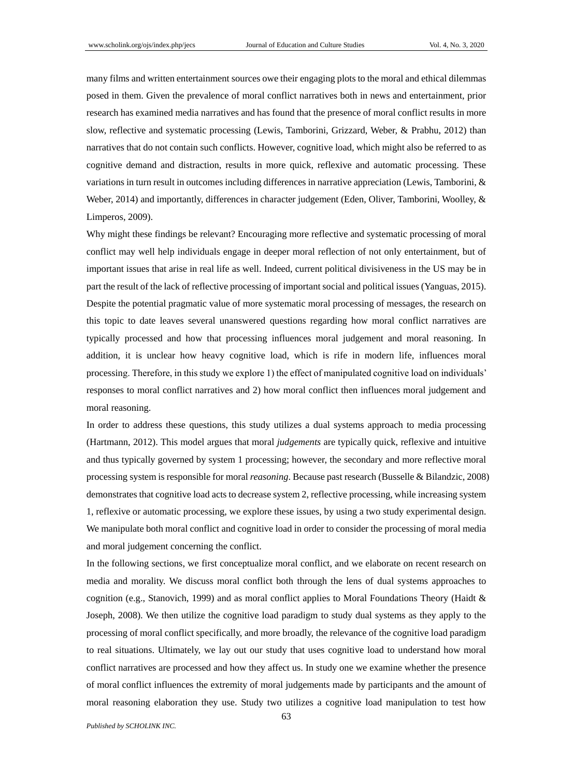many films and written entertainment sources owe their engaging plots to the moral and ethical dilemmas posed in them. Given the prevalence of moral conflict narratives both in news and entertainment, prior research has examined media narratives and has found that the presence of moral conflict results in more slow, reflective and systematic processing (Lewis, Tamborini, Grizzard, Weber, & Prabhu, 2012) than narratives that do not contain such conflicts. However, cognitive load, which might also be referred to as cognitive demand and distraction, results in more quick, reflexive and automatic processing. These variations in turn result in outcomes including differences in narrative appreciation (Lewis, Tamborini, & Weber, 2014) and importantly, differences in character judgement (Eden, Oliver, Tamborini, Woolley, & Limperos, 2009).

Why might these findings be relevant? Encouraging more reflective and systematic processing of moral conflict may well help individuals engage in deeper moral reflection of not only entertainment, but of important issues that arise in real life as well. Indeed, current political divisiveness in the US may be in part the result of the lack of reflective processing of important social and political issues (Yanguas, 2015). Despite the potential pragmatic value of more systematic moral processing of messages, the research on this topic to date leaves several unanswered questions regarding how moral conflict narratives are typically processed and how that processing influences moral judgement and moral reasoning. In addition, it is unclear how heavy cognitive load, which is rife in modern life, influences moral processing. Therefore, in this study we explore 1) the effect of manipulated cognitive load on individuals' responses to moral conflict narratives and 2) how moral conflict then influences moral judgement and moral reasoning.

In order to address these questions, this study utilizes a dual systems approach to media processing (Hartmann, 2012). This model argues that moral *judgements* are typically quick, reflexive and intuitive and thus typically governed by system 1 processing; however, the secondary and more reflective moral processing system is responsible for moral *reasoning*. Because past research (Busselle & Bilandzic, 2008) demonstrates that cognitive load acts to decrease system 2, reflective processing, while increasing system 1, reflexive or automatic processing, we explore these issues, by using a two study experimental design. We manipulate both moral conflict and cognitive load in order to consider the processing of moral media and moral judgement concerning the conflict.

In the following sections, we first conceptualize moral conflict, and we elaborate on recent research on media and morality. We discuss moral conflict both through the lens of dual systems approaches to cognition (e.g., Stanovich, 1999) and as moral conflict applies to Moral Foundations Theory (Haidt & Joseph, 2008). We then utilize the cognitive load paradigm to study dual systems as they apply to the processing of moral conflict specifically, and more broadly, the relevance of the cognitive load paradigm to real situations. Ultimately, we lay out our study that uses cognitive load to understand how moral conflict narratives are processed and how they affect us. In study one we examine whether the presence of moral conflict influences the extremity of moral judgements made by participants and the amount of moral reasoning elaboration they use. Study two utilizes a cognitive load manipulation to test how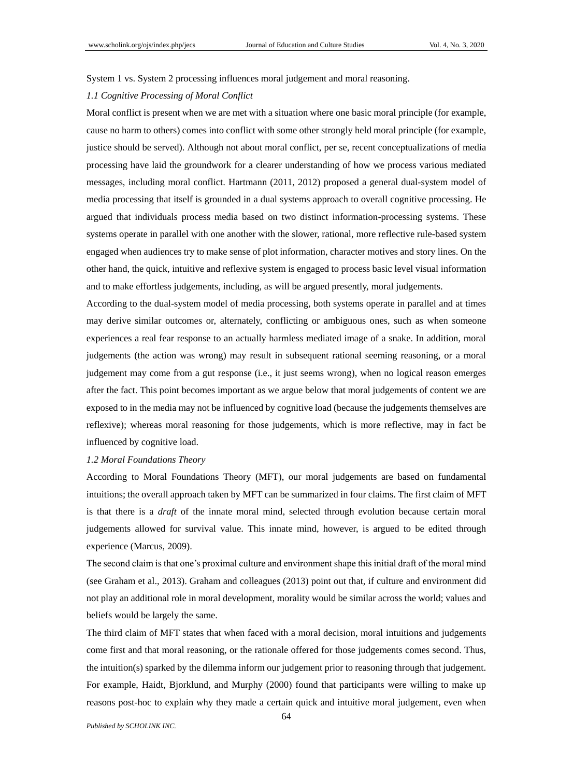## System 1 vs. System 2 processing influences moral judgement and moral reasoning.

### *1.1 Cognitive Processing of Moral Conflict*

Moral conflict is present when we are met with a situation where one basic moral principle (for example, cause no harm to others) comes into conflict with some other strongly held moral principle (for example, justice should be served). Although not about moral conflict, per se, recent conceptualizations of media processing have laid the groundwork for a clearer understanding of how we process various mediated messages, including moral conflict. Hartmann (2011, 2012) proposed a general dual-system model of media processing that itself is grounded in a dual systems approach to overall cognitive processing. He argued that individuals process media based on two distinct information-processing systems. These systems operate in parallel with one another with the slower, rational, more reflective rule-based system engaged when audiences try to make sense of plot information, character motives and story lines. On the other hand, the quick, intuitive and reflexive system is engaged to process basic level visual information and to make effortless judgements, including, as will be argued presently, moral judgements.

According to the dual-system model of media processing, both systems operate in parallel and at times may derive similar outcomes or, alternately, conflicting or ambiguous ones, such as when someone experiences a real fear response to an actually harmless mediated image of a snake. In addition, moral judgements (the action was wrong) may result in subsequent rational seeming reasoning, or a moral judgement may come from a gut response (i.e., it just seems wrong), when no logical reason emerges after the fact. This point becomes important as we argue below that moral judgements of content we are exposed to in the media may not be influenced by cognitive load (because the judgements themselves are reflexive); whereas moral reasoning for those judgements, which is more reflective, may in fact be influenced by cognitive load.

### *1.2 Moral Foundations Theory*

According to Moral Foundations Theory (MFT), our moral judgements are based on fundamental intuitions; the overall approach taken by MFT can be summarized in four claims. The first claim of MFT is that there is a *draft* of the innate moral mind, selected through evolution because certain moral judgements allowed for survival value. This innate mind, however, is argued to be edited through experience (Marcus, 2009).

The second claim is that one's proximal culture and environment shape this initial draft of the moral mind (see Graham et al., 2013). Graham and colleagues (2013) point out that, if culture and environment did not play an additional role in moral development, morality would be similar across the world; values and beliefs would be largely the same.

The third claim of MFT states that when faced with a moral decision, moral intuitions and judgements come first and that moral reasoning, or the rationale offered for those judgements comes second. Thus, the intuition(s) sparked by the dilemma inform our judgement prior to reasoning through that judgement. For example, Haidt, Bjorklund, and Murphy (2000) found that participants were willing to make up reasons post-hoc to explain why they made a certain quick and intuitive moral judgement, even when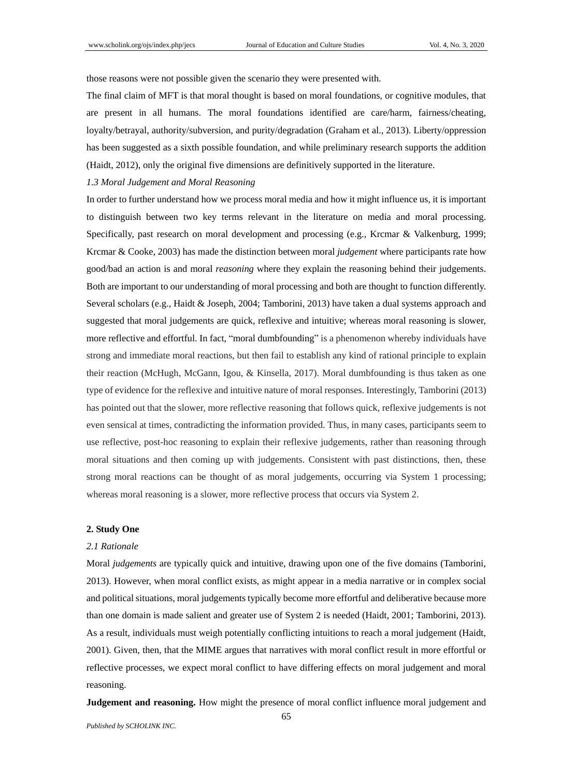those reasons were not possible given the scenario they were presented with.

The final claim of MFT is that moral thought is based on moral foundations, or cognitive modules, that are present in all humans. The moral foundations identified are care/harm, fairness/cheating, loyalty/betrayal, authority/subversion, and purity/degradation (Graham et al., 2013). Liberty/oppression has been suggested as a sixth possible foundation, and while preliminary research supports the addition (Haidt, 2012), only the original five dimensions are definitively supported in the literature.

## *1.3 Moral Judgement and Moral Reasoning*

In order to further understand how we process moral media and how it might influence us, it is important to distinguish between two key terms relevant in the literature on media and moral processing. Specifically, past research on moral development and processing (e.g., Krcmar & Valkenburg, 1999; Krcmar & Cooke, 2003) has made the distinction between moral *judgement* where participants rate how good/bad an action is and moral *reasoning* where they explain the reasoning behind their judgements. Both are important to our understanding of moral processing and both are thought to function differently. Several scholars (e.g., Haidt & Joseph, 2004; Tamborini, 2013) have taken a dual systems approach and suggested that moral judgements are quick, reflexive and intuitive; whereas moral reasoning is slower, more reflective and effortful. In fact, "moral dumbfounding" is a phenomenon whereby individuals have strong and immediate moral reactions, but then fail to establish any kind of rational principle to explain their reaction (McHugh, McGann, Igou, & Kinsella, 2017). Moral dumbfounding is thus taken as one type of evidence for the reflexive and intuitive nature of moral responses. Interestingly, Tamborini (2013) has pointed out that the slower, more reflective reasoning that follows quick, reflexive judgements is not even sensical at times, contradicting the information provided. Thus, in many cases, participants seem to use reflective, post-hoc reasoning to explain their reflexive judgements, rather than reasoning through moral situations and then coming up with judgements. Consistent with past distinctions, then, these strong moral reactions can be thought of as moral judgements, occurring via System 1 processing; whereas moral reasoning is a slower, more reflective process that occurs via System 2.

#### **2. Study One**

#### *2.1 Rationale*

Moral *judgements* are typically quick and intuitive, drawing upon one of the five domains (Tamborini, 2013). However, when moral conflict exists, as might appear in a media narrative or in complex social and political situations, moral judgements typically become more effortful and deliberative because more than one domain is made salient and greater use of System 2 is needed (Haidt, 2001; Tamborini, 2013). As a result, individuals must weigh potentially conflicting intuitions to reach a moral judgement (Haidt, 2001). Given, then, that the MIME argues that narratives with moral conflict result in more effortful or reflective processes, we expect moral conflict to have differing effects on moral judgement and moral reasoning.

**Judgement and reasoning.** How might the presence of moral conflict influence moral judgement and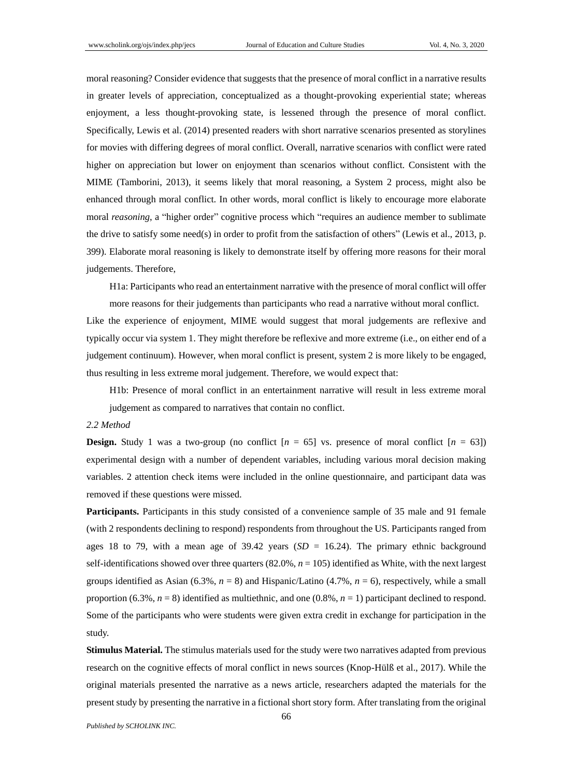moral reasoning? Consider evidence that suggests that the presence of moral conflict in a narrative results in greater levels of appreciation, conceptualized as a thought-provoking experiential state; whereas enjoyment, a less thought-provoking state, is lessened through the presence of moral conflict. Specifically, Lewis et al. (2014) presented readers with short narrative scenarios presented as storylines for movies with differing degrees of moral conflict. Overall, narrative scenarios with conflict were rated higher on appreciation but lower on enjoyment than scenarios without conflict. Consistent with the MIME (Tamborini, 2013), it seems likely that moral reasoning, a System 2 process, might also be enhanced through moral conflict. In other words, moral conflict is likely to encourage more elaborate moral *reasoning*, a "higher order" cognitive process which "requires an audience member to sublimate the drive to satisfy some need(s) in order to profit from the satisfaction of others" (Lewis et al., 2013, p. 399). Elaborate moral reasoning is likely to demonstrate itself by offering more reasons for their moral judgements. Therefore,

H1a: Participants who read an entertainment narrative with the presence of moral conflict will offer more reasons for their judgements than participants who read a narrative without moral conflict.

Like the experience of enjoyment, MIME would suggest that moral judgements are reflexive and typically occur via system 1. They might therefore be reflexive and more extreme (i.e., on either end of a judgement continuum). However, when moral conflict is present, system 2 is more likely to be engaged, thus resulting in less extreme moral judgement. Therefore, we would expect that:

H1b: Presence of moral conflict in an entertainment narrative will result in less extreme moral judgement as compared to narratives that contain no conflict.

#### *2.2 Method*

**Design.** Study 1 was a two-group (no conflict  $[n = 65]$  vs. presence of moral conflict  $[n = 63]$ ) experimental design with a number of dependent variables, including various moral decision making variables. 2 attention check items were included in the online questionnaire, and participant data was removed if these questions were missed.

**Participants.** Participants in this study consisted of a convenience sample of 35 male and 91 female (with 2 respondents declining to respond) respondents from throughout the US. Participants ranged from ages 18 to 79, with a mean age of  $39.42$  years (*SD* = 16.24). The primary ethnic background self-identifications showed over three quarters (82.0%, *n* = 105) identified as White, with the next largest groups identified as Asian (6.3%,  $n = 8$ ) and Hispanic/Latino (4.7%,  $n = 6$ ), respectively, while a small proportion  $(6.3\%, n=8)$  identified as multiethnic, and one  $(0.8\%, n=1)$  participant declined to respond. Some of the participants who were students were given extra credit in exchange for participation in the study.

**Stimulus Material.** The stimulus materials used for the study were two narratives adapted from previous research on the cognitive effects of moral conflict in news sources (Knop-Hülß et al., 2017). While the original materials presented the narrative as a news article, researchers adapted the materials for the present study by presenting the narrative in a fictional short story form. After translating from the original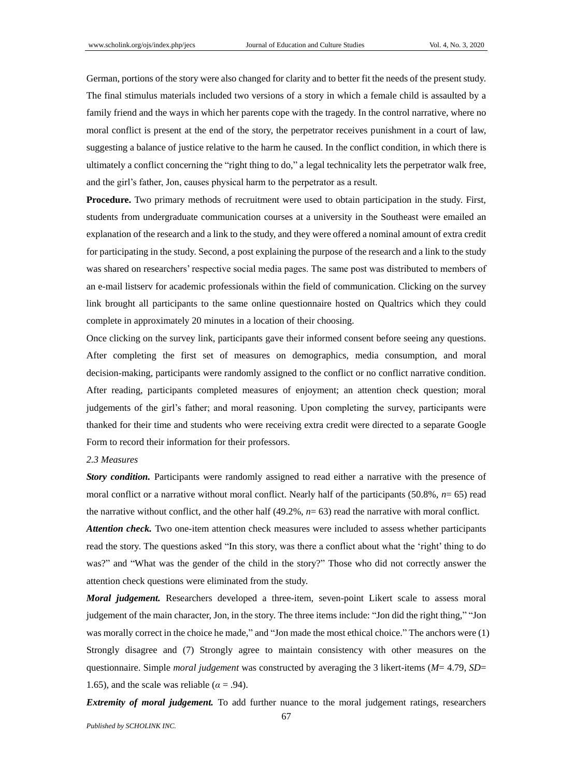German, portions of the story were also changed for clarity and to better fit the needs of the present study. The final stimulus materials included two versions of a story in which a female child is assaulted by a family friend and the ways in which her parents cope with the tragedy. In the control narrative, where no moral conflict is present at the end of the story, the perpetrator receives punishment in a court of law, suggesting a balance of justice relative to the harm he caused. In the conflict condition, in which there is ultimately a conflict concerning the "right thing to do," a legal technicality lets the perpetrator walk free, and the girl's father, Jon, causes physical harm to the perpetrator as a result.

**Procedure.** Two primary methods of recruitment were used to obtain participation in the study. First, students from undergraduate communication courses at a university in the Southeast were emailed an explanation of the research and a link to the study, and they were offered a nominal amount of extra credit for participating in the study. Second, a post explaining the purpose of the research and a link to the study was shared on researchers' respective social media pages. The same post was distributed to members of an e-mail listserv for academic professionals within the field of communication. Clicking on the survey link brought all participants to the same online questionnaire hosted on Qualtrics which they could complete in approximately 20 minutes in a location of their choosing.

Once clicking on the survey link, participants gave their informed consent before seeing any questions. After completing the first set of measures on demographics, media consumption, and moral decision-making, participants were randomly assigned to the conflict or no conflict narrative condition. After reading, participants completed measures of enjoyment; an attention check question; moral judgements of the girl's father; and moral reasoning. Upon completing the survey, participants were thanked for their time and students who were receiving extra credit were directed to a separate Google Form to record their information for their professors.

### *2.3 Measures*

*Story condition.* Participants were randomly assigned to read either a narrative with the presence of moral conflict or a narrative without moral conflict. Nearly half of the participants (50.8%,  $n=$  65) read the narrative without conflict, and the other half (49.2%, *n*= 63) read the narrative with moral conflict.

*Attention check.* Two one-item attention check measures were included to assess whether participants read the story. The questions asked "In this story, was there a conflict about what the 'right' thing to do was?" and "What was the gender of the child in the story?" Those who did not correctly answer the attention check questions were eliminated from the study.

*Moral judgement.* Researchers developed a three-item, seven-point Likert scale to assess moral judgement of the main character, Jon, in the story. The three items include: "Jon did the right thing," "Jon was morally correct in the choice he made," and "Jon made the most ethical choice." The anchors were (1) Strongly disagree and (7) Strongly agree to maintain consistency with other measures on the questionnaire. Simple *moral judgement* was constructed by averaging the 3 likert-items (*M*= 4.79, *SD*= 1.65), and the scale was reliable ( $\alpha$  = .94).

*Extremity of moral judgement.* To add further nuance to the moral judgement ratings, researchers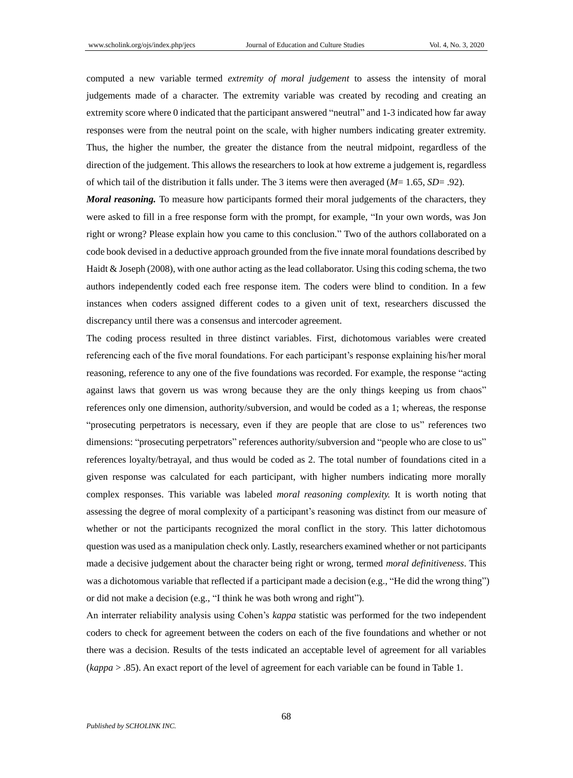computed a new variable termed *extremity of moral judgement* to assess the intensity of moral judgements made of a character. The extremity variable was created by recoding and creating an extremity score where 0 indicated that the participant answered "neutral" and 1-3 indicated how far away responses were from the neutral point on the scale, with higher numbers indicating greater extremity. Thus, the higher the number, the greater the distance from the neutral midpoint, regardless of the direction of the judgement. This allows the researchers to look at how extreme a judgement is, regardless of which tail of the distribution it falls under. The 3 items were then averaged (*M*= 1.65, *SD*= .92).

*Moral reasoning.* To measure how participants formed their moral judgements of the characters, they were asked to fill in a free response form with the prompt, for example, "In your own words, was Jon right or wrong? Please explain how you came to this conclusion." Two of the authors collaborated on a code book devised in a deductive approach grounded from the five innate moral foundations described by Haidt & Joseph (2008), with one author acting as the lead collaborator. Using this coding schema, the two authors independently coded each free response item. The coders were blind to condition. In a few instances when coders assigned different codes to a given unit of text, researchers discussed the discrepancy until there was a consensus and intercoder agreement.

The coding process resulted in three distinct variables. First, dichotomous variables were created referencing each of the five moral foundations. For each participant's response explaining his/her moral reasoning, reference to any one of the five foundations was recorded. For example, the response "acting against laws that govern us was wrong because they are the only things keeping us from chaos" references only one dimension, authority/subversion, and would be coded as a 1; whereas, the response "prosecuting perpetrators is necessary, even if they are people that are close to us" references two dimensions: "prosecuting perpetrators" references authority/subversion and "people who are close to us" references loyalty/betrayal, and thus would be coded as 2. The total number of foundations cited in a given response was calculated for each participant, with higher numbers indicating more morally complex responses. This variable was labeled *moral reasoning complexity.* It is worth noting that assessing the degree of moral complexity of a participant's reasoning was distinct from our measure of whether or not the participants recognized the moral conflict in the story. This latter dichotomous question was used as a manipulation check only. Lastly, researchers examined whether or not participants made a decisive judgement about the character being right or wrong, termed *moral definitiveness*. This was a dichotomous variable that reflected if a participant made a decision (e.g., "He did the wrong thing") or did not make a decision (e.g., "I think he was both wrong and right").

An interrater reliability analysis using Cohen's *kappa* statistic was performed for the two independent coders to check for agreement between the coders on each of the five foundations and whether or not there was a decision. Results of the tests indicated an acceptable level of agreement for all variables (*kappa* > .85). An exact report of the level of agreement for each variable can be found in Table 1.

68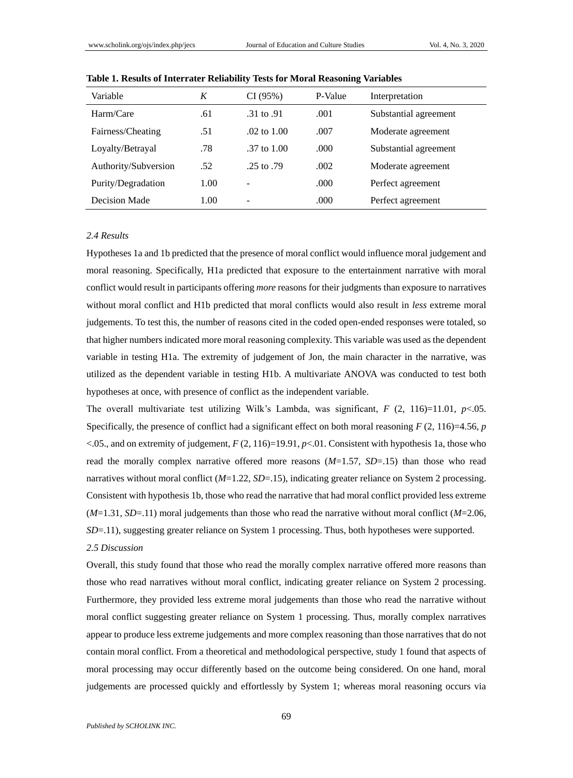| Variable             | K    | CI(95%)           | P-Value | Interpretation        |
|----------------------|------|-------------------|---------|-----------------------|
| Harm/Care            | .61  | .31 to .91        | .001    | Substantial agreement |
| Fairness/Cheating    | .51  | $.02$ to $1.00$   | .007    | Moderate agreement    |
| Loyalty/Betrayal     | .78  | $.37$ to $1.00$   | .000    | Substantial agreement |
| Authority/Subversion | .52  | .25 to $.79$      | .002    | Moderate agreement    |
| Purity/Degradation   | 1.00 | -                 | .000    | Perfect agreement     |
| Decision Made        | 1.00 | $\qquad \qquad -$ | .000    | Perfect agreement     |

**Table 1. Results of Interrater Reliability Tests for Moral Reasoning Variables**

#### *2.4 Results*

Hypotheses 1a and 1b predicted that the presence of moral conflict would influence moral judgement and moral reasoning. Specifically, H1a predicted that exposure to the entertainment narrative with moral conflict would result in participants offering *more* reasons for their judgments than exposure to narratives without moral conflict and H1b predicted that moral conflicts would also result in *less* extreme moral judgements. To test this, the number of reasons cited in the coded open-ended responses were totaled, so that higher numbers indicated more moral reasoning complexity. This variable was used as the dependent variable in testing H1a. The extremity of judgement of Jon, the main character in the narrative, was utilized as the dependent variable in testing H1b. A multivariate ANOVA was conducted to test both hypotheses at once, with presence of conflict as the independent variable.

The overall multivariate test utilizing Wilk's Lambda, was significant, *F* (2, 116)=11.01, *p*<.05. Specifically, the presence of conflict had a significant effect on both moral reasoning  $F(2, 116)=4.56$ ,  $p$ <.05., and on extremity of judgement, *F* (2, 116)=19.91, *p*<.01. Consistent with hypothesis 1a, those who read the morally complex narrative offered more reasons (*M*=1.57, *SD*=.15) than those who read narratives without moral conflict (*M*=1.22, *SD*=.15), indicating greater reliance on System 2 processing. Consistent with hypothesis 1b, those who read the narrative that had moral conflict provided less extreme (*M*=1.31, *SD*=.11) moral judgements than those who read the narrative without moral conflict (*M*=2.06, *SD*=.11), suggesting greater reliance on System 1 processing. Thus, both hypotheses were supported.

# *2.5 Discussion*

Overall, this study found that those who read the morally complex narrative offered more reasons than those who read narratives without moral conflict, indicating greater reliance on System 2 processing. Furthermore, they provided less extreme moral judgements than those who read the narrative without moral conflict suggesting greater reliance on System 1 processing. Thus, morally complex narratives appear to produce less extreme judgements and more complex reasoning than those narratives that do not contain moral conflict. From a theoretical and methodological perspective, study 1 found that aspects of moral processing may occur differently based on the outcome being considered. On one hand, moral judgements are processed quickly and effortlessly by System 1; whereas moral reasoning occurs via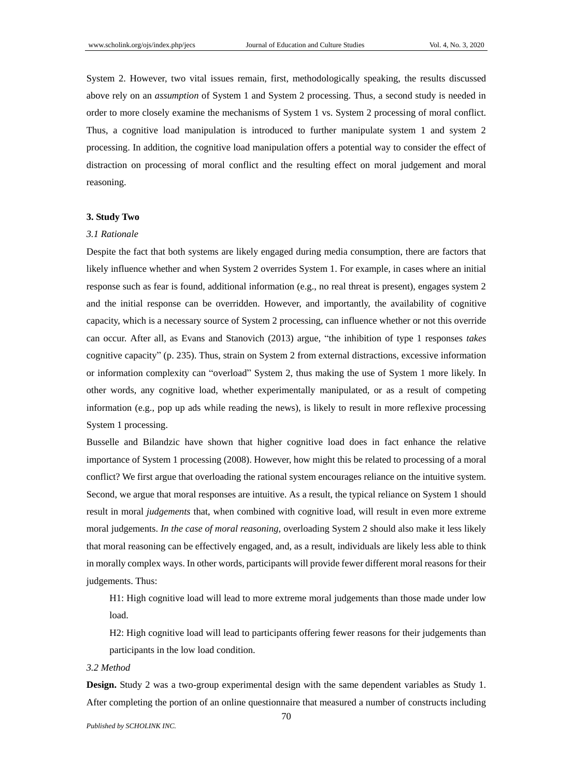System 2. However, two vital issues remain, first, methodologically speaking, the results discussed above rely on an *assumption* of System 1 and System 2 processing. Thus, a second study is needed in order to more closely examine the mechanisms of System 1 vs. System 2 processing of moral conflict. Thus, a cognitive load manipulation is introduced to further manipulate system 1 and system 2 processing. In addition, the cognitive load manipulation offers a potential way to consider the effect of distraction on processing of moral conflict and the resulting effect on moral judgement and moral reasoning.

#### **3. Study Two**

#### *3.1 Rationale*

Despite the fact that both systems are likely engaged during media consumption, there are factors that likely influence whether and when System 2 overrides System 1. For example, in cases where an initial response such as fear is found, additional information (e.g., no real threat is present), engages system 2 and the initial response can be overridden. However, and importantly, the availability of cognitive capacity, which is a necessary source of System 2 processing, can influence whether or not this override can occur. After all, as Evans and Stanovich (2013) argue, "the inhibition of type 1 responses *takes* cognitive capacity" (p. 235). Thus, strain on System 2 from external distractions, excessive information or information complexity can "overload" System 2, thus making the use of System 1 more likely. In other words, any cognitive load, whether experimentally manipulated, or as a result of competing information (e.g., pop up ads while reading the news), is likely to result in more reflexive processing System 1 processing.

Busselle and Bilandzic have shown that higher cognitive load does in fact enhance the relative importance of System 1 processing (2008). However, how might this be related to processing of a moral conflict? We first argue that overloading the rational system encourages reliance on the intuitive system. Second, we argue that moral responses are intuitive. As a result, the typical reliance on System 1 should result in moral *judgements* that, when combined with cognitive load, will result in even more extreme moral judgements. *In the case of moral reasoning,* overloading System 2 should also make it less likely that moral reasoning can be effectively engaged, and, as a result, individuals are likely less able to think in morally complex ways. In other words, participants will provide fewer different moral reasons for their judgements. Thus:

H1: High cognitive load will lead to more extreme moral judgements than those made under low load.

H2: High cognitive load will lead to participants offering fewer reasons for their judgements than participants in the low load condition.

*3.2 Method*

**Design.** Study 2 was a two-group experimental design with the same dependent variables as Study 1. After completing the portion of an online questionnaire that measured a number of constructs including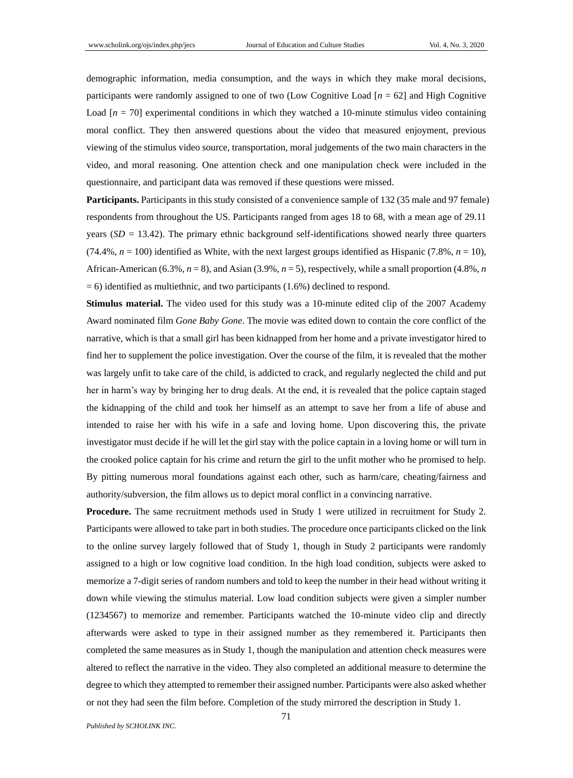demographic information, media consumption, and the ways in which they make moral decisions, participants were randomly assigned to one of two (Low Cognitive Load [*n* = 62] and High Cognitive Load  $[n = 70]$  experimental conditions in which they watched a 10-minute stimulus video containing moral conflict. They then answered questions about the video that measured enjoyment, previous viewing of the stimulus video source, transportation, moral judgements of the two main characters in the video, and moral reasoning. One attention check and one manipulation check were included in the questionnaire, and participant data was removed if these questions were missed.

**Participants.** Participants in this study consisted of a convenience sample of 132 (35 male and 97 female) respondents from throughout the US. Participants ranged from ages 18 to 68, with a mean age of 29.11 years  $(SD = 13.42)$ . The primary ethnic background self-identifications showed nearly three quarters (74.4%,  $n = 100$ ) identified as White, with the next largest groups identified as Hispanic (7.8%,  $n = 10$ ), African-American (6.3%, *n* = 8), and Asian (3.9%, *n* = 5), respectively, while a small proportion (4.8%, *n*  $= 6$ ) identified as multiethnic, and two participants (1.6%) declined to respond.

**Stimulus material.** The video used for this study was a 10-minute edited clip of the 2007 Academy Award nominated film *Gone Baby Gone*. The movie was edited down to contain the core conflict of the narrative, which is that a small girl has been kidnapped from her home and a private investigator hired to find her to supplement the police investigation. Over the course of the film, it is revealed that the mother was largely unfit to take care of the child, is addicted to crack, and regularly neglected the child and put her in harm's way by bringing her to drug deals. At the end, it is revealed that the police captain staged the kidnapping of the child and took her himself as an attempt to save her from a life of abuse and intended to raise her with his wife in a safe and loving home. Upon discovering this, the private investigator must decide if he will let the girl stay with the police captain in a loving home or will turn in the crooked police captain for his crime and return the girl to the unfit mother who he promised to help. By pitting numerous moral foundations against each other, such as harm/care, cheating/fairness and authority/subversion, the film allows us to depict moral conflict in a convincing narrative.

**Procedure.** The same recruitment methods used in Study 1 were utilized in recruitment for Study 2. Participants were allowed to take part in both studies. The procedure once participants clicked on the link to the online survey largely followed that of Study 1, though in Study 2 participants were randomly assigned to a high or low cognitive load condition. In the high load condition, subjects were asked to memorize a 7-digit series of random numbers and told to keep the number in their head without writing it down while viewing the stimulus material. Low load condition subjects were given a simpler number (1234567) to memorize and remember. Participants watched the 10-minute video clip and directly afterwards were asked to type in their assigned number as they remembered it. Participants then completed the same measures as in Study 1, though the manipulation and attention check measures were altered to reflect the narrative in the video. They also completed an additional measure to determine the degree to which they attempted to remember their assigned number. Participants were also asked whether or not they had seen the film before. Completion of the study mirrored the description in Study 1.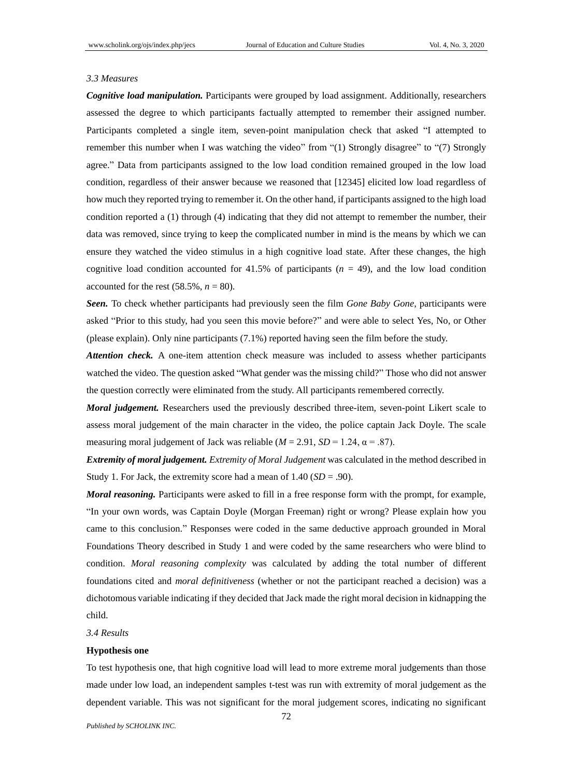#### *3.3 Measures*

*Cognitive load manipulation.* Participants were grouped by load assignment. Additionally, researchers assessed the degree to which participants factually attempted to remember their assigned number. Participants completed a single item, seven-point manipulation check that asked "I attempted to remember this number when I was watching the video" from "(1) Strongly disagree" to "(7) Strongly agree." Data from participants assigned to the low load condition remained grouped in the low load condition, regardless of their answer because we reasoned that [12345] elicited low load regardless of how much they reported trying to remember it. On the other hand, if participants assigned to the high load condition reported a (1) through (4) indicating that they did not attempt to remember the number, their data was removed, since trying to keep the complicated number in mind is the means by which we can ensure they watched the video stimulus in a high cognitive load state. After these changes, the high cognitive load condition accounted for  $41.5\%$  of participants ( $n = 49$ ), and the low load condition accounted for the rest  $(58.5\%, n = 80)$ .

*Seen.* To check whether participants had previously seen the film *Gone Baby Gone*, participants were asked "Prior to this study, had you seen this movie before?" and were able to select Yes, No, or Other (please explain). Only nine participants (7.1%) reported having seen the film before the study.

*Attention check.* A one-item attention check measure was included to assess whether participants watched the video. The question asked "What gender was the missing child?" Those who did not answer the question correctly were eliminated from the study. All participants remembered correctly.

*Moral judgement.* Researchers used the previously described three-item, seven-point Likert scale to assess moral judgement of the main character in the video, the police captain Jack Doyle. The scale measuring moral judgement of Jack was reliable  $(M = 2.91, SD = 1.24, \alpha = .87)$ .

*Extremity of moral judgement. Extremity of Moral Judgement* was calculated in the method described in Study 1. For Jack, the extremity score had a mean of 1.40 (*SD* = .90).

*Moral reasoning.* Participants were asked to fill in a free response form with the prompt, for example, "In your own words, was Captain Doyle (Morgan Freeman) right or wrong? Please explain how you came to this conclusion." Responses were coded in the same deductive approach grounded in Moral Foundations Theory described in Study 1 and were coded by the same researchers who were blind to condition. *Moral reasoning complexity* was calculated by adding the total number of different foundations cited and *moral definitiveness* (whether or not the participant reached a decision) was a dichotomous variable indicating if they decided that Jack made the right moral decision in kidnapping the child.

*3.4 Results*

#### **Hypothesis one**

To test hypothesis one, that high cognitive load will lead to more extreme moral judgements than those made under low load, an independent samples t-test was run with extremity of moral judgement as the dependent variable. This was not significant for the moral judgement scores, indicating no significant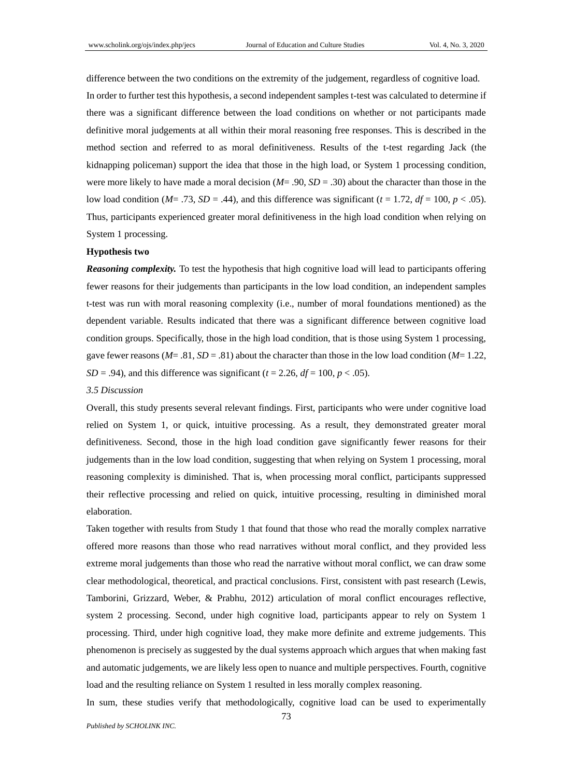difference between the two conditions on the extremity of the judgement, regardless of cognitive load. In order to further test this hypothesis, a second independent samples t-test was calculated to determine if there was a significant difference between the load conditions on whether or not participants made definitive moral judgements at all within their moral reasoning free responses. This is described in the method section and referred to as moral definitiveness. Results of the t-test regarding Jack (the kidnapping policeman) support the idea that those in the high load, or System 1 processing condition, were more likely to have made a moral decision (*M*= .90, *SD* = .30) about the character than those in the low load condition ( $M = .73$ ,  $SD = .44$ ), and this difference was significant ( $t = 1.72$ ,  $df = 100$ ,  $p < .05$ ). Thus, participants experienced greater moral definitiveness in the high load condition when relying on System 1 processing.

#### **Hypothesis two**

*Reasoning complexity.* To test the hypothesis that high cognitive load will lead to participants offering fewer reasons for their judgements than participants in the low load condition, an independent samples t-test was run with moral reasoning complexity (i.e., number of moral foundations mentioned) as the dependent variable. Results indicated that there was a significant difference between cognitive load condition groups. Specifically, those in the high load condition, that is those using System 1 processing, gave fewer reasons  $(M= .81, SD = .81)$  about the character than those in the low load condition  $(M= 1.22,$  $SD = .94$ ), and this difference was significant ( $t = 2.26$ ,  $df = 100$ ,  $p < .05$ ).

#### *3.5 Discussion*

Overall, this study presents several relevant findings. First, participants who were under cognitive load relied on System 1, or quick, intuitive processing. As a result, they demonstrated greater moral definitiveness. Second, those in the high load condition gave significantly fewer reasons for their judgements than in the low load condition, suggesting that when relying on System 1 processing, moral reasoning complexity is diminished. That is, when processing moral conflict, participants suppressed their reflective processing and relied on quick, intuitive processing, resulting in diminished moral elaboration.

Taken together with results from Study 1 that found that those who read the morally complex narrative offered more reasons than those who read narratives without moral conflict, and they provided less extreme moral judgements than those who read the narrative without moral conflict, we can draw some clear methodological, theoretical, and practical conclusions. First, consistent with past research (Lewis, Tamborini, Grizzard, Weber, & Prabhu, 2012) articulation of moral conflict encourages reflective, system 2 processing. Second, under high cognitive load, participants appear to rely on System 1 processing. Third, under high cognitive load, they make more definite and extreme judgements. This phenomenon is precisely as suggested by the dual systems approach which argues that when making fast and automatic judgements, we are likely less open to nuance and multiple perspectives. Fourth, cognitive load and the resulting reliance on System 1 resulted in less morally complex reasoning.

In sum, these studies verify that methodologically, cognitive load can be used to experimentally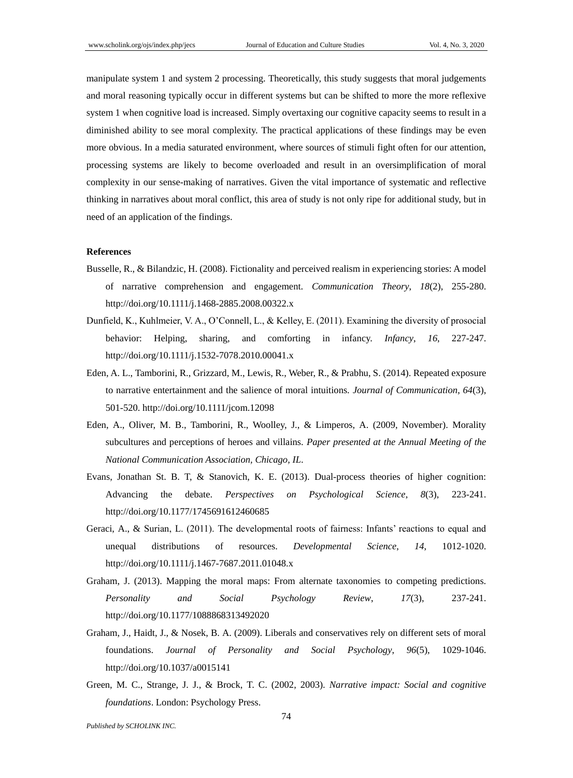manipulate system 1 and system 2 processing. Theoretically, this study suggests that moral judgements and moral reasoning typically occur in different systems but can be shifted to more the more reflexive system 1 when cognitive load is increased. Simply overtaxing our cognitive capacity seems to result in a diminished ability to see moral complexity. The practical applications of these findings may be even more obvious. In a media saturated environment, where sources of stimuli fight often for our attention, processing systems are likely to become overloaded and result in an oversimplification of moral complexity in our sense-making of narratives. Given the vital importance of systematic and reflective thinking in narratives about moral conflict, this area of study is not only ripe for additional study, but in need of an application of the findings.

#### **References**

- Busselle, R., & Bilandzic, H. (2008). Fictionality and perceived realism in experiencing stories: A model of narrative comprehension and engagement. *Communication Theory*, *18*(2), 255-280. http://doi.org/10.1111/j.1468-2885.2008.00322.x
- Dunfield, K., Kuhlmeier, V. A., O'Connell, L., & Kelley, E. (2011). Examining the diversity of prosocial behavior: Helping, sharing, and comforting in infancy. *Infancy*, *16*, 227-247. http://doi.org/10.1111/j.1532-7078.2010.00041.x
- Eden, A. L., Tamborini, R., Grizzard, M., Lewis, R., Weber, R., & Prabhu, S. (2014). Repeated exposure to narrative entertainment and the salience of moral intuitions. *Journal of Communication*, *64*(3), 501-520. http://doi.org/10.1111/jcom.12098
- Eden, A., Oliver, M. B., Tamborini, R., Woolley, J., & Limperos, A. (2009, November). Morality subcultures and perceptions of heroes and villains. *Paper presented at the Annual Meeting of the National Communication Association, Chicago, IL*.
- Evans, Jonathan St. B. T, & Stanovich, K. E. (2013). Dual-process theories of higher cognition: Advancing the debate. *Perspectives on Psychological Science*, *8*(3), 223-241. http://doi.org/10.1177/1745691612460685
- Geraci, A., & Surian, L. (2011). The developmental roots of fairness: Infants' reactions to equal and unequal distributions of resources. *Developmental Science*, *14*, 1012-1020. http://doi.org/10.1111/j.1467-7687.2011.01048.x
- Graham, J. (2013). Mapping the moral maps: From alternate taxonomies to competing predictions. *Personality and Social Psychology Review*, *17*(3), 237-241. http://doi.org/10.1177/1088868313492020
- Graham, J., Haidt, J., & Nosek, B. A. (2009). Liberals and conservatives rely on different sets of moral foundations. *Journal of Personality and Social Psychology*, *96*(5), 1029-1046. http://doi.org/10.1037/a0015141
- Green, M. C., Strange, J. J., & Brock, T. C. (2002, 2003). *Narrative impact: Social and cognitive foundations*. London: Psychology Press.

*Published by SCHOLINK INC.*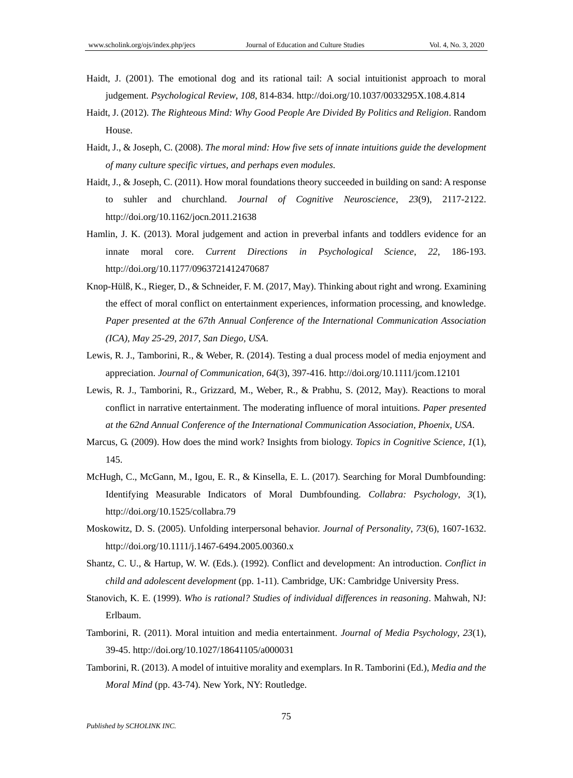- Haidt, J. (2001). The emotional dog and its rational tail: A social intuitionist approach to moral judgement. *Psychological Review*, *108*, 814-834. http://doi.org/10.1037/0033295X.108.4.814
- Haidt, J. (2012). *The Righteous Mind: Why Good People Are Divided By Politics and Religion*. Random House.
- Haidt, J., & Joseph, C. (2008). *The moral mind: How five sets of innate intuitions guide the development of many culture specific virtues, and perhaps even modules*.
- Haidt, J., & Joseph, C. (2011). How moral foundations theory succeeded in building on sand: A response to suhler and churchland. *Journal of Cognitive Neuroscience*, *23*(9), 2117-2122. http://doi.org/10.1162/jocn.2011.21638
- Hamlin, J. K. (2013). Moral judgement and action in preverbal infants and toddlers evidence for an innate moral core. *Current Directions in Psychological Science*, *22*, 186-193. http://doi.org/10.1177/0963721412470687
- Knop-Hülß, K., Rieger, D., & Schneider, F. M. (2017, May). Thinking about right and wrong. Examining the effect of moral conflict on entertainment experiences, information processing, and knowledge. *Paper presented at the 67th Annual Conference of the International Communication Association (ICA), May 25-29, 2017, San Diego, USA*.
- Lewis, R. J., Tamborini, R., & Weber, R. (2014). Testing a dual process model of media enjoyment and appreciation. *Journal of Communication*, *64*(3), 397-416. http://doi.org/10.1111/jcom.12101
- Lewis, R. J., Tamborini, R., Grizzard, M., Weber, R., & Prabhu, S. (2012, May). Reactions to moral conflict in narrative entertainment. The moderating influence of moral intuitions. *Paper presented at the 62nd Annual Conference of the International Communication Association, Phoenix, USA*.
- Marcus, G. (2009). How does the mind work? Insights from biology. *Topics in Cognitive Science*, *1*(1), 145.
- McHugh, C., McGann, M., Igou, E. R., & Kinsella, E. L. (2017). Searching for Moral Dumbfounding: Identifying Measurable Indicators of Moral Dumbfounding. *Collabra: Psychology*, *3*(1), http://doi.org/10.1525/collabra.79
- Moskowitz, D. S. (2005). Unfolding interpersonal behavior. *Journal of Personality*, *73*(6), 1607-1632. http://doi.org/10.1111/j.1467-6494.2005.00360.x
- Shantz, C. U., & Hartup, W. W. (Eds.). (1992). Conflict and development: An introduction. *Conflict in child and adolescent development* (pp. 1-11). Cambridge, UK: Cambridge University Press.
- Stanovich, K. E. (1999). *Who is rational? Studies of individual differences in reasoning*. Mahwah, NJ: Erlbaum.
- Tamborini, R. (2011). Moral intuition and media entertainment. *Journal of Media Psychology*, *23*(1), 39-45. http://doi.org/10.1027/18641105/a000031
- Tamborini, R. (2013). A model of intuitive morality and exemplars. In R. Tamborini (Ed.), *Media and the Moral Mind* (pp. 43-74). New York, NY: Routledge.